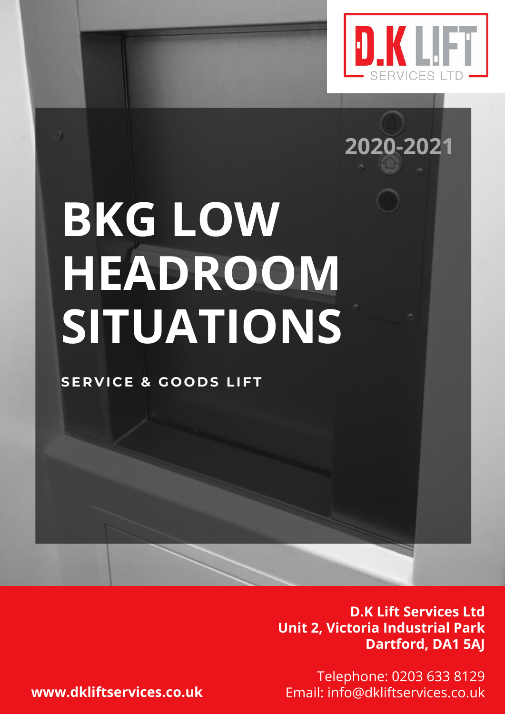

**2020-2021**

## **BKG LOW HEADROOM SITUATIONS**

**SE R V I C E & G O O D S LIFT**

**D.K Lift Services Ltd Unit 2, Victoria Industrial Park Dartford, DA1 5AJ**

Telephone: 0203 633 8129 **www.dkliftservices.co.uk** Email: info@dkliftservices.co.uk